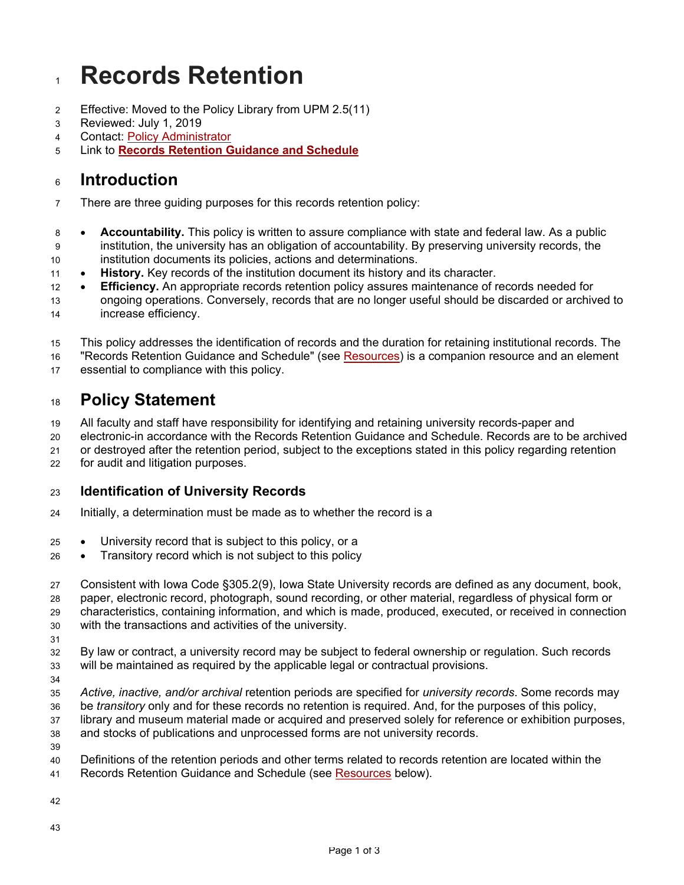# **Records Retention**

- Effective: Moved to the Policy Library from UPM 2.5(11)
- Reviewed: July 1, 2019
- Contact: Policy Administrator
- Link to **[Records Retention Guidance and Schedule](http://records.policy.iastate.edu/)**

# **Introduction**

- There are three guiding purposes for this records retention policy:
- **Accountability.** This policy is written to assure compliance with state and federal law. As a public institution, the university has an obligation of accountability. By preserving university records, the institution documents its policies, actions and determinations.
- **History.** Key records of the institution document its history and its character.
- **Efficiency.** An appropriate records retention policy assures maintenance of records needed for ongoing operations. Conversely, records that are no longer useful should be discarded or archived to
- increase efficiency.
- This policy addresses the identification of records and the duration for retaining institutional records. The
- "Records Retention Guidance and Schedule" (see [Resources\)](https://www.policy.iastate.edu/policy/records#Resources) is a companion resource and an element
- essential to compliance with this policy.

# **Policy Statement**

- All faculty and staff have responsibility for identifying and retaining university records-paper and
- electronic-in accordance with the Records Retention Guidance and Schedule. Records are to be archived
- or destroyed after the retention period, subject to the exceptions stated in this policy regarding retention
- for audit and litigation purposes.

## **Identification of University Records**

- Initially, a determination must be made as to whether the record is a
- University record that is subject to this policy, or a
- Transitory record which is not subject to this policy

 Consistent with Iowa Code §305.2(9), Iowa State University records are defined as any document, book, paper, electronic record, photograph, sound recording, or other material, regardless of physical form or characteristics, containing information, and which is made, produced, executed, or received in connection with the transactions and activities of the university.

 By law or contract, a university record may be subject to federal ownership or regulation. Such records will be maintained as required by the applicable legal or contractual provisions.

- 
- *Active, inactive, and/or archival* retention periods are specified for *university records*. Some records may
- be *transitory* only and for these records no retention is required. And, for the purposes of this policy,
- library and museum material made or acquired and preserved solely for reference or exhibition purposes, and stocks of publications and unprocessed forms are not university records.
- 
- Definitions of the retention periods and other terms related to records retention are located within the
- 41 Records Retention Guidance and Schedule (see **[Resources](https://www.policy.iastate.edu/policy/records#Resources)** below).
-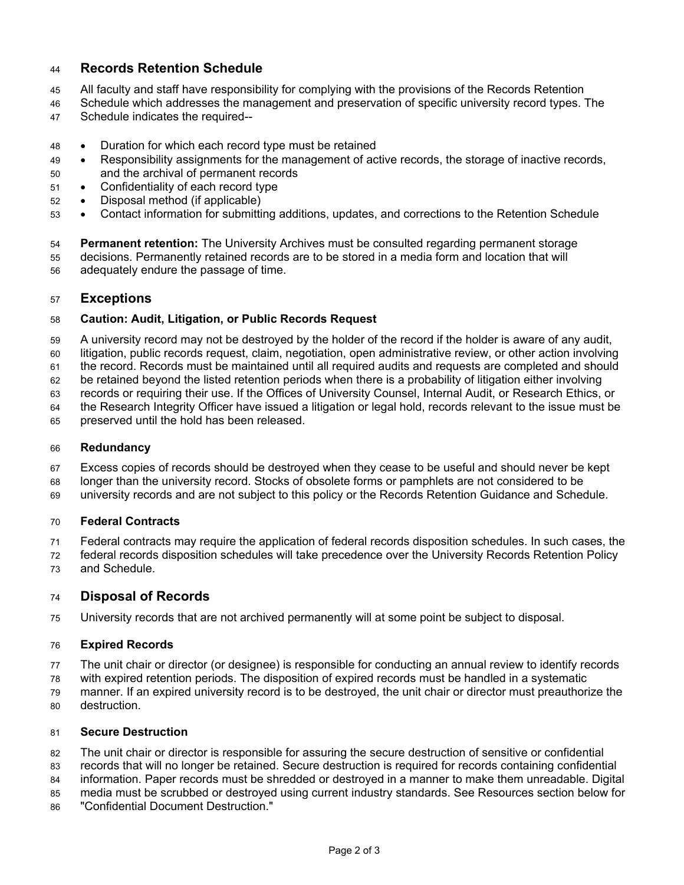### **Records Retention Schedule**

- All faculty and staff have responsibility for complying with the provisions of the Records Retention
- Schedule which addresses the management and preservation of specific university record types. The
- Schedule indicates the required--
- Duration for which each record type must be retained
- Responsibility assignments for the management of active records, the storage of inactive records, and the archival of permanent records
- Confidentiality of each record type
- Disposal method (if applicable)
- Contact information for submitting additions, updates, and corrections to the Retention Schedule

 **Permanent retention:** The University Archives must be consulted regarding permanent storage decisions. Permanently retained records are to be stored in a media form and location that will adequately endure the passage of time.

#### **Exceptions**

#### **Caution: Audit, Litigation, or Public Records Request**

 A university record may not be destroyed by the holder of the record if the holder is aware of any audit, litigation, public records request, claim, negotiation, open administrative review, or other action involving

the record. Records must be maintained until all required audits and requests are completed and should

be retained beyond the listed retention periods when there is a probability of litigation either involving

records or requiring their use. If the Offices of University Counsel, Internal Audit, or Research Ethics, or

the Research Integrity Officer have issued a litigation or legal hold, records relevant to the issue must be

preserved until the hold has been released.

#### **Redundancy**

Excess copies of records should be destroyed when they cease to be useful and should never be kept

 longer than the university record. Stocks of obsolete forms or pamphlets are not considered to be university records and are not subject to this policy or the Records Retention Guidance and Schedule.

#### **Federal Contracts**

 Federal contracts may require the application of federal records disposition schedules. In such cases, the federal records disposition schedules will take precedence over the University Records Retention Policy and Schedule.

#### **Disposal of Records**

University records that are not archived permanently will at some point be subject to disposal.

#### **Expired Records**

The unit chair or director (or designee) is responsible for conducting an annual review to identify records

with expired retention periods. The disposition of expired records must be handled in a systematic

 manner. If an expired university record is to be destroyed, the unit chair or director must preauthorize the destruction.

#### **Secure Destruction**

The unit chair or director is responsible for assuring the secure destruction of sensitive or confidential

records that will no longer be retained. Secure destruction is required for records containing confidential

 information. Paper records must be shredded or destroyed in a manner to make them unreadable. Digital media must be scrubbed or destroyed using current industry standards. See Resources section below for

"Confidential Document Destruction."